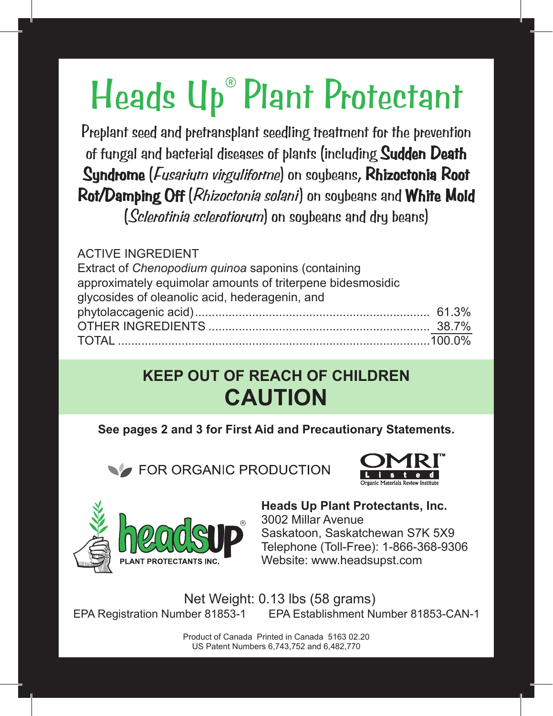# Heads Up® Plant Protectant

Preplant seed and pretransplant seedling treatment for the prevention of fungal and bacterial diseases of plants (including Sudden Death Syndrome (*Fusarium virguliforme*) on soybeans, Rhizoctonia Root Rot/Damping Off (Rhizoctonia solani) on soybeans and White Mold (Sclerotinia sclerotiorum) on soybeans and dry beans)

#### ACTIVE INGREDIENT

Extract of *Chenopodium quinoa* saponins (containing approximately equimolar amounts of triterpene bidesmosidic glycosides of oleanolic acid, hederagenin, and phytolaccagenic acid)...................................................................... 61.3% OTHER INGREDIENTS .................................................................. 38.7% TOTAL .............................................................................................100.0%

### **KEEP OUT OF REACH OF CHILDREN CAUTION**

**See pages 2 and 3 for First Aid and Precautionary Statements.**

**EXAMPLE ORGANIC PRODUCTION** 





#### **Heads Up Plant Protectants, Inc.** 3002 Millar Avenue Saskatoon, Saskatchewan S7K 5X9 Telephone (Toll-Free): 1-866-368-9306 Website: www.headsupst.com

Net Weight: 0.13 lbs (58 grams) EPA Registration Number 81853-1 EPA Establishment Number 81853-CAN-1

> Product of Canada Printed in Canada 5163 02.20 US Patent Numbers 6,743,752 and 6,482,770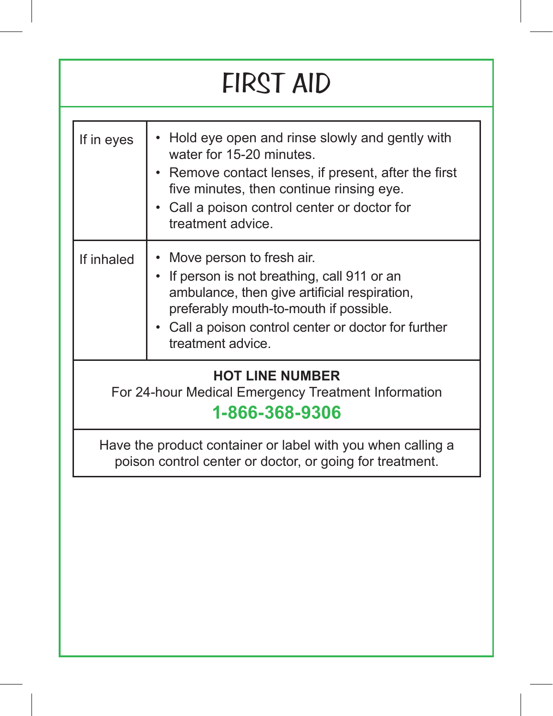# FIRST AID

| If in eyes | Hold eye open and rinse slowly and gently with<br>water for 15-20 minutes.<br>• Remove contact lenses, if present, after the first<br>five minutes, then continue rinsing eye.<br>• Call a poison control center or doctor for<br>treatment advice. |
|------------|-----------------------------------------------------------------------------------------------------------------------------------------------------------------------------------------------------------------------------------------------------|
| If inhaled | Move person to fresh air.<br>If person is not breathing, call 911 or an<br>ambulance, then give artificial respiration,<br>preferably mouth-to-mouth if possible.<br>Call a poison control center or doctor for further<br>treatment advice.        |

### **HOT LINE NUMBER**

For 24-hour Medical Emergency Treatment Information

### **1-866-368-9306**

Have the product container or label with you when calling a poison control center or doctor, or going for treatment.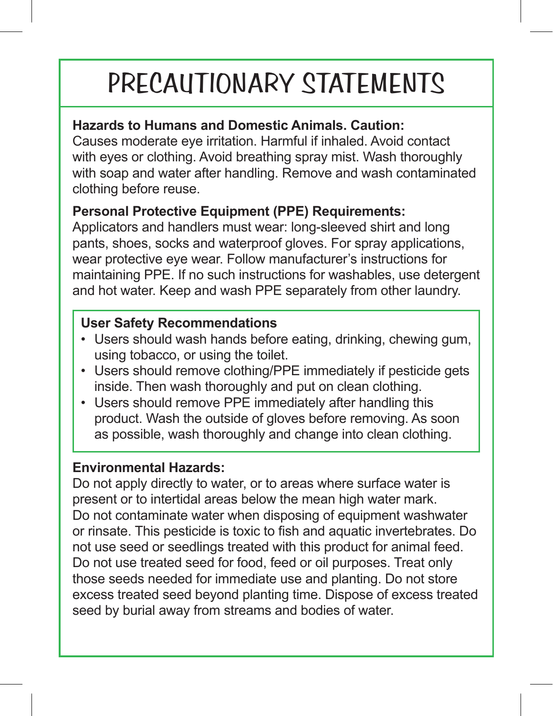# PRECAUTIONARY STATEMENTS

#### **Hazards to Humans and Domestic Animals. Caution:**

Causes moderate eye irritation. Harmful if inhaled. Avoid contact with eyes or clothing. Avoid breathing spray mist. Wash thoroughly with soap and water after handling. Remove and wash contaminated clothing before reuse.

#### **Personal Protective Equipment (PPE) Requirements:**

Applicators and handlers must wear: long-sleeved shirt and long pants, shoes, socks and waterproof gloves. For spray applications, wear protective eye wear. Follow manufacturer's instructions for maintaining PPE. If no such instructions for washables, use detergent and hot water. Keep and wash PPE separately from other laundry.

#### **User Safety Recommendations**

- Users should wash hands before eating, drinking, chewing gum, using tobacco, or using the toilet.
- Users should remove clothing/PPE immediately if pesticide gets inside. Then wash thoroughly and put on clean clothing.
- Users should remove PPE immediately after handling this product. Wash the outside of gloves before removing. As soon as possible, wash thoroughly and change into clean clothing.

#### **Environmental Hazards:**

Do not apply directly to water, or to areas where surface water is present or to intertidal areas below the mean high water mark. Do not contaminate water when disposing of equipment washwater or rinsate. This pesticide is toxic to fish and aquatic invertebrates. Do not use seed or seedlings treated with this product for animal feed. Do not use treated seed for food, feed or oil purposes. Treat only those seeds needed for immediate use and planting. Do not store excess treated seed beyond planting time. Dispose of excess treated seed by burial away from streams and bodies of water.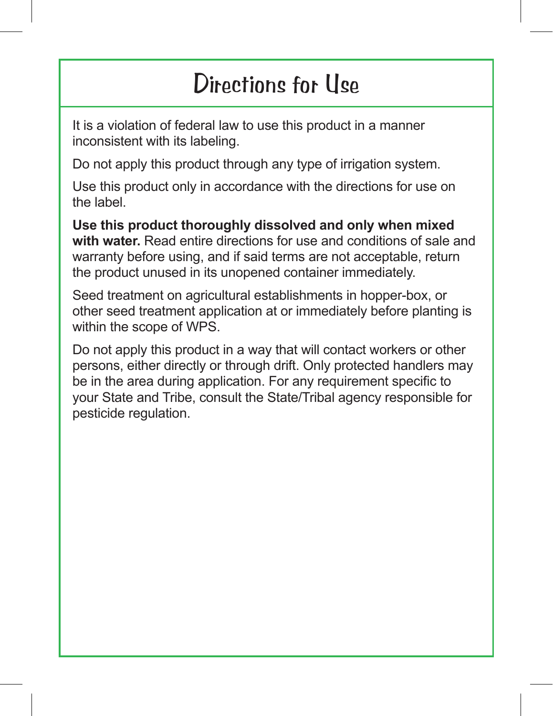### Directions for Use

It is a violation of federal law to use this product in a manner inconsistent with its labeling.

Do not apply this product through any type of irrigation system.

Use this product only in accordance with the directions for use on the label.

**Use this product thoroughly dissolved and only when mixed with water.** Read entire directions for use and conditions of sale and warranty before using, and if said terms are not acceptable, return the product unused in its unopened container immediately.

Seed treatment on agricultural establishments in hopper-box, or other seed treatment application at or immediately before planting is within the scope of WPS.

Do not apply this product in a way that will contact workers or other persons, either directly or through drift. Only protected handlers may be in the area during application. For any requirement specific to your State and Tribe, consult the State/Tribal agency responsible for pesticide regulation.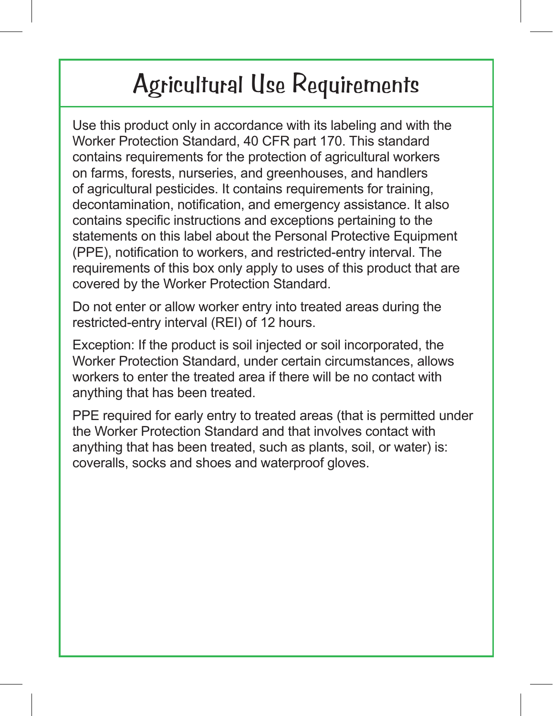### Agricultural Use Requirements

Use this product only in accordance with its labeling and with the Worker Protection Standard, 40 CFR part 170. This standard contains requirements for the protection of agricultural workers on farms, forests, nurseries, and greenhouses, and handlers of agricultural pesticides. It contains requirements for training, decontamination, notification, and emergency assistance. It also contains specific instructions and exceptions pertaining to the statements on this label about the Personal Protective Equipment (PPE), notification to workers, and restricted-entry interval. The requirements of this box only apply to uses of this product that are covered by the Worker Protection Standard.

Do not enter or allow worker entry into treated areas during the restricted-entry interval (REI) of 12 hours.

Exception: If the product is soil injected or soil incorporated, the Worker Protection Standard, under certain circumstances, allows workers to enter the treated area if there will be no contact with anything that has been treated.

PPE required for early entry to treated areas (that is permitted under the Worker Protection Standard and that involves contact with anything that has been treated, such as plants, soil, or water) is: coveralls, socks and shoes and waterproof gloves.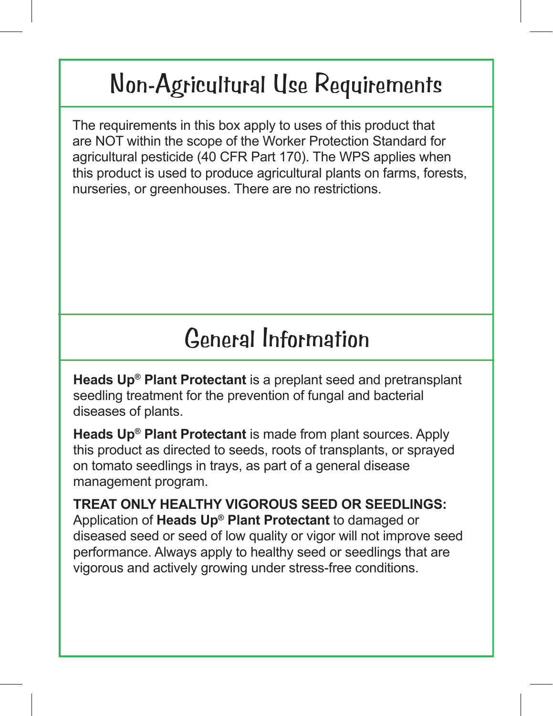## Non-Agricultural Use Requirements

The requirements in this box apply to uses of this product that are NOT within the scope of the Worker Protection Standard for agricultural pesticide (40 CFR Part 170). The WPS applies when this product is used to produce agricultural plants on farms, forests, nurseries, or greenhouses. There are no restrictions.

### General Information

**Heads Up® Plant Protectant** is a preplant seed and pretransplant seedling treatment for the prevention of fungal and bacterial diseases of plants.

**Heads Up® Plant Protectant** is made from plant sources. Apply this product as directed to seeds, roots of transplants, or sprayed on tomato seedlings in trays, as part of a general disease management program.

**TREAT ONLY HEALTHY VIGOROUS SEED OR SEEDLINGS:** Application of **Heads Up® Plant Protectant** to damaged or diseased seed or seed of low quality or vigor will not improve seed performance. Always apply to healthy seed or seedlings that are vigorous and actively growing under stress-free conditions.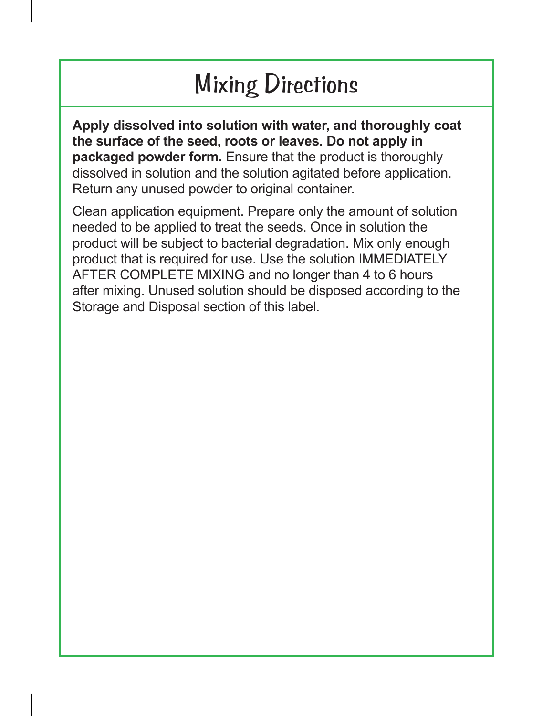## Mixing Directions

**Apply dissolved into solution with water, and thoroughly coat the surface of the seed, roots or leaves. Do not apply in packaged powder form.** Ensure that the product is thoroughly dissolved in solution and the solution agitated before application. Return any unused powder to original container.

Clean application equipment. Prepare only the amount of solution needed to be applied to treat the seeds. Once in solution the product will be subject to bacterial degradation. Mix only enough product that is required for use. Use the solution IMMEDIATELY AFTER COMPLETE MIXING and no longer than 4 to 6 hours after mixing. Unused solution should be disposed according to the Storage and Disposal section of this label.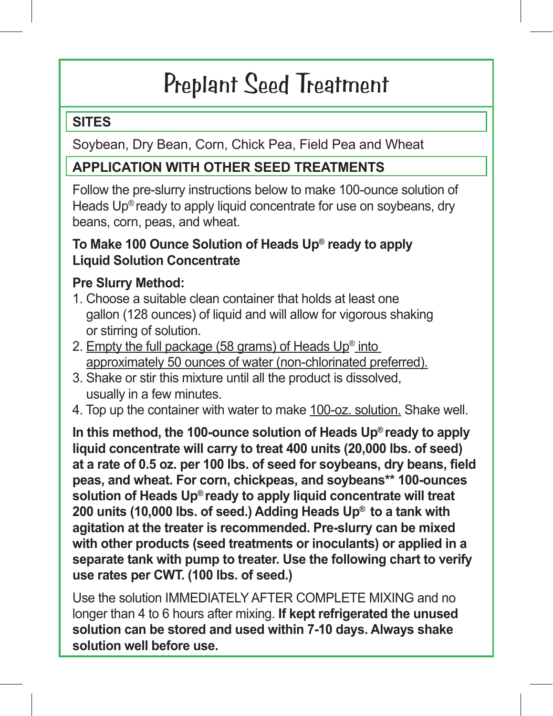# Preplant Seed Treatment

#### **SITES**

Soybean, Dry Bean, Corn, Chick Pea, Field Pea and Wheat

### **APPLICATION WITH OTHER SEED TREATMENTS**

Follow the pre-slurry instructions below to make 100-ounce solution of Heads Up<sup>®</sup> ready to apply liquid concentrate for use on soybeans, dry beans, corn, peas, and wheat.

#### **To Make 100 Ounce Solution of Heads Up® ready to apply Liquid Solution Concentrate**

### **Pre Slurry Method:**

- 1. Choose a suitable clean container that holds at least one gallon (128 ounces) of liquid and will allow for vigorous shaking or stirring of solution.
- 2. Empty the full package (58 grams) of Heads  $Up^{\circ}$  into approximately 50 ounces of water (non-chlorinated preferred).
- 3. Shake or stir this mixture until all the product is dissolved, usually in a few minutes.
- 4. Top up the container with water to make 100-oz. solution. Shake well.

**In this method, the 100-ounce solution of Heads Up® ready to apply liquid concentrate will carry to treat 400 units (20,000 lbs. of seed) at a rate of 0.5 oz. per 100 lbs. of seed for soybeans, dry beans, field peas, and wheat. For corn, chickpeas, and soybeans\*\* 100-ounces solution of Heads Up® ready to apply liquid concentrate will treat 200 units (10,000 lbs. of seed.) Adding Heads Up® to a tank with agitation at the treater is recommended. Pre-slurry can be mixed with other products (seed treatments or inoculants) or applied in a separate tank with pump to treater. Use the following chart to verify use rates per CWT. (100 lbs. of seed.)**

Use the solution IMMEDIATELY AFTER COMPLETE MIXING and no longer than 4 to 6 hours after mixing. **If kept refrigerated the unused solution can be stored and used within 7-10 days. Always shake solution well before use.**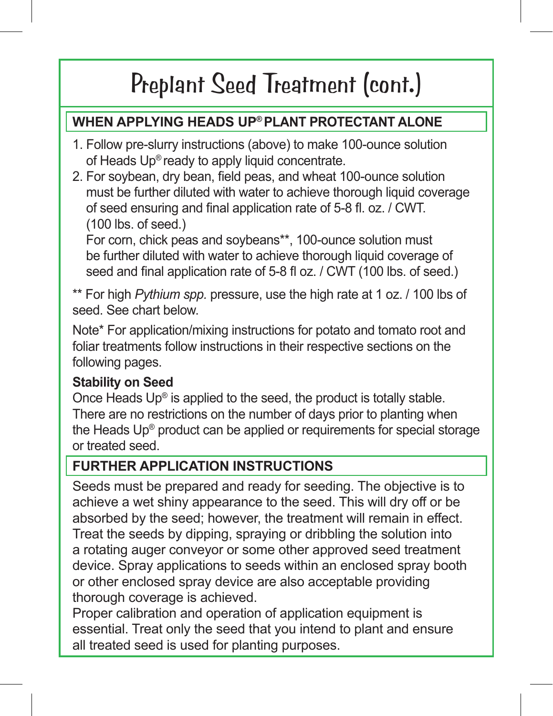### **WHEN APPLYING HEADS UP® PLANT PROTECTANT ALONE**

- 1. Follow pre-slurry instructions (above) to make 100-ounce solution of Heads Up® ready to apply liquid concentrate.
- 2. For soybean, dry bean, field peas, and wheat 100-ounce solution must be further diluted with water to achieve thorough liquid coverage of seed ensuring and final application rate of 5-8 fl. oz. / CWT. (100 lbs. of seed.)

For corn, chick peas and soybeans\*\*, 100-ounce solution must be further diluted with water to achieve thorough liquid coverage of seed and final application rate of 5-8 fl oz. / CWT (100 lbs. of seed.)

\*\* For high *Pythium spp.* pressure, use the high rate at 1 oz. / 100 lbs of seed. See chart below.

Note\* For application/mixing instructions for potato and tomato root and foliar treatments follow instructions in their respective sections on the following pages.

#### **Stability on Seed**

Once Heads Up® is applied to the seed, the product is totally stable. There are no restrictions on the number of days prior to planting when the Heads Up® product can be applied or requirements for special storage or treated seed.

### **FURTHER APPLICATION INSTRUCTIONS**

Seeds must be prepared and ready for seeding. The objective is to achieve a wet shiny appearance to the seed. This will dry off or be absorbed by the seed; however, the treatment will remain in effect. Treat the seeds by dipping, spraying or dribbling the solution into a rotating auger conveyor or some other approved seed treatment device. Spray applications to seeds within an enclosed spray booth or other enclosed spray device are also acceptable providing thorough coverage is achieved.

Proper calibration and operation of application equipment is essential. Treat only the seed that you intend to plant and ensure all treated seed is used for planting purposes.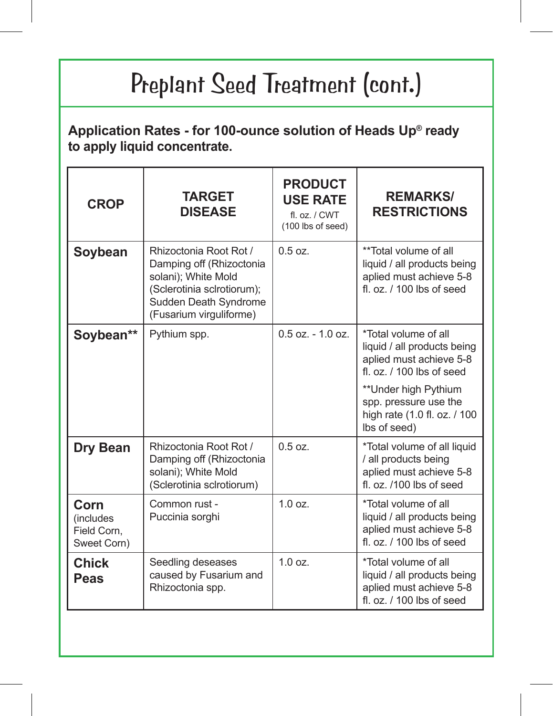#### **Application Rates - for 100-ounce solution of Heads Up® ready to apply liquid concentrate.**

| <b>CROP</b>                                             | <b>TARGET</b><br><b>DISEASE</b>                                                                                                                             | <b>PRODUCT</b><br><b>USE RATE</b><br>fl. oz. / CWT<br>(100 lbs of seed) | <b>REMARKS/</b><br><b>RESTRICTIONS</b>                                                                          |
|---------------------------------------------------------|-------------------------------------------------------------------------------------------------------------------------------------------------------------|-------------------------------------------------------------------------|-----------------------------------------------------------------------------------------------------------------|
| Soybean                                                 | Rhizoctonia Root Rot /<br>Damping off (Rhizoctonia<br>solani); White Mold<br>(Sclerotinia sclrotiorum);<br>Sudden Death Syndrome<br>(Fusarium virguliforme) | $0.5$ $0z$                                                              | **Total volume of all<br>liquid / all products being<br>aplied must achieve 5-8<br>fl. $oz.$ / 100 lbs of seed  |
| Soybean**                                               | Pythium spp.                                                                                                                                                | $0.5$ oz. $-1.0$ oz.                                                    | *Total volume of all<br>liquid / all products being<br>aplied must achieve 5-8<br>fl $\alpha$ / 100 lbs of seed |
|                                                         |                                                                                                                                                             |                                                                         | **Under high Pythium<br>spp. pressure use the<br>high rate (1.0 fl. oz. / 100<br>lbs of seed)                   |
| Dry Bean                                                | Rhizoctonia Root Rot /<br>Damping off (Rhizoctonia<br>solani): White Mold<br>(Sclerotinia sclrotiorum)                                                      | $0.5$ oz.                                                               | *Total volume of all liquid<br>/ all products being<br>aplied must achieve 5-8<br>fl. oz. /100 lbs of seed      |
| Corn<br><i>(includes)</i><br>Field Corn,<br>Sweet Corn) | Common rust -<br>Puccinia sorghi                                                                                                                            | 1.0 oz.                                                                 | *Total volume of all<br>liquid / all products being<br>aplied must achieve 5-8<br>fl. $oz.$ / 100 lbs of seed   |
| <b>Chick</b><br>Peas                                    | Seedling deseases<br>caused by Fusarium and<br>Rhizoctonia spp.                                                                                             | 1.0 oz.                                                                 | *Total volume of all<br>liquid / all products being<br>aplied must achieve 5-8<br>fl. oz. / 100 lbs of seed     |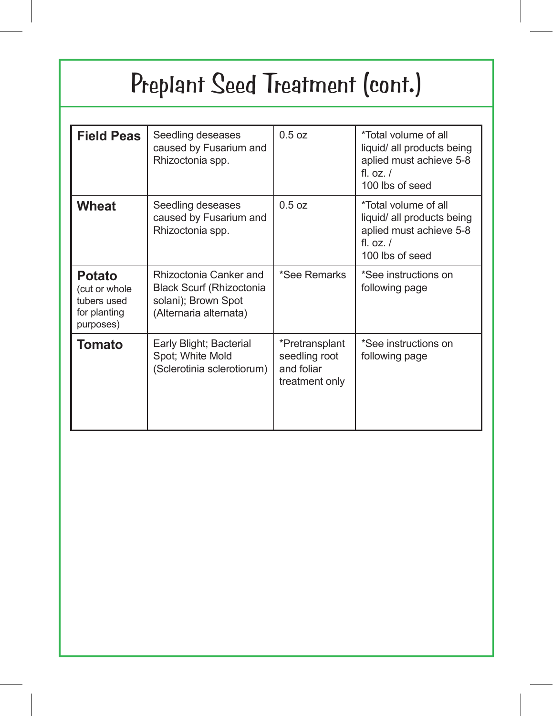| <b>Field Peas</b>                                                   | Seedling deseases<br>caused by Fusarium and<br>Rhizoctonia spp.                                            | 0.5 oz                                                          | *Total volume of all<br>liquid/ all products being<br>aplied must achieve 5-8<br>fl $0z/$<br>100 lbs of seed    |
|---------------------------------------------------------------------|------------------------------------------------------------------------------------------------------------|-----------------------------------------------------------------|-----------------------------------------------------------------------------------------------------------------|
| Wheat                                                               | Seedling deseases<br>caused by Fusarium and<br>Rhizoctonia spp.                                            | 0.5 oz                                                          | *Total volume of all<br>liquid/ all products being<br>aplied must achieve 5-8<br>fl. $oz. /$<br>100 lbs of seed |
| Potato<br>(cut or whole<br>tubers used<br>for planting<br>purposes) | Rhizoctonia Canker and<br><b>Black Scurf (Rhizoctonia</b><br>solani); Brown Spot<br>(Alternaria alternata) | *See Remarks                                                    | *See instructions on<br>following page                                                                          |
| Tomato                                                              | Early Blight; Bacterial<br>Spot; White Mold<br>(Sclerotinia sclerotiorum)                                  | *Pretransplant<br>seedling root<br>and foliar<br>treatment only | *See instructions on<br>following page                                                                          |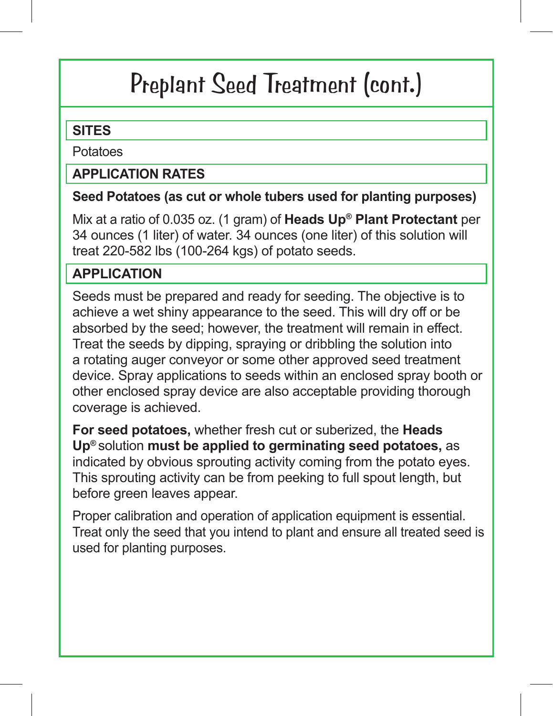#### **SITES**

Potatoes

#### **APPLICATION RATES**

#### **Seed Potatoes (as cut or whole tubers used for planting purposes)**

Mix at a ratio of 0.035 oz. (1 gram) of **Heads Up® Plant Protectant** per 34 ounces (1 liter) of water. 34 ounces (one liter) of this solution will treat 220-582 lbs (100-264 kgs) of potato seeds.

### **APPLICATION**

Seeds must be prepared and ready for seeding. The objective is to achieve a wet shiny appearance to the seed. This will dry off or be absorbed by the seed; however, the treatment will remain in effect. Treat the seeds by dipping, spraying or dribbling the solution into a rotating auger conveyor or some other approved seed treatment device. Spray applications to seeds within an enclosed spray booth or other enclosed spray device are also acceptable providing thorough coverage is achieved.

**For seed potatoes,** whether fresh cut or suberized, the **Heads Up®** solution **must be applied to germinating seed potatoes,** as indicated by obvious sprouting activity coming from the potato eyes. This sprouting activity can be from peeking to full spout length, but before green leaves appear.

Proper calibration and operation of application equipment is essential. Treat only the seed that you intend to plant and ensure all treated seed is used for planting purposes.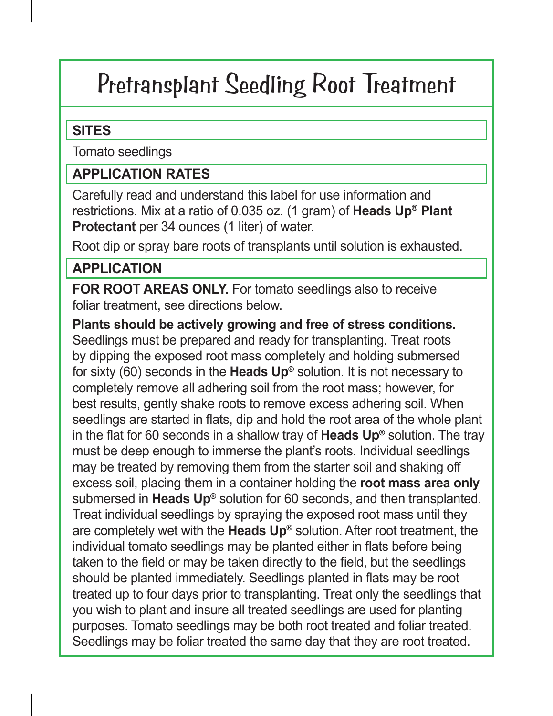### Pretransplant Seedling Root Treatment

#### **SITES**

Tomato seedlings

#### **APPLICATION RATES**

Carefully read and understand this label for use information and restrictions. Mix at a ratio of 0.035 oz. (1 gram) of **Heads Up® Plant Protectant** per 34 ounces (1 liter) of water.

Root dip or spray bare roots of transplants until solution is exhausted.

#### **APPLICATION**

**FOR ROOT AREAS ONLY.** For tomato seedlings also to receive foliar treatment, see directions below.

**Plants should be actively growing and free of stress conditions.** Seedlings must be prepared and ready for transplanting. Treat roots by dipping the exposed root mass completely and holding submersed for sixty (60) seconds in the **Heads Up®** solution. It is not necessary to completely remove all adhering soil from the root mass; however, for best results, gently shake roots to remove excess adhering soil. When seedlings are started in flats, dip and hold the root area of the whole plant in the flat for 60 seconds in a shallow tray of **Heads Up®** solution. The tray must be deep enough to immerse the plant's roots. Individual seedlings may be treated by removing them from the starter soil and shaking off excess soil, placing them in a container holding the **root mass area only** submersed in **Heads Up®** solution for 60 seconds, and then transplanted. Treat individual seedlings by spraying the exposed root mass until they are completely wet with the **Heads Up®** solution. After root treatment, the individual tomato seedlings may be planted either in flats before being taken to the field or may be taken directly to the field, but the seedlings should be planted immediately. Seedlings planted in flats may be root treated up to four days prior to transplanting. Treat only the seedlings that you wish to plant and insure all treated seedlings are used for planting purposes. Tomato seedlings may be both root treated and foliar treated. Seedlings may be foliar treated the same day that they are root treated.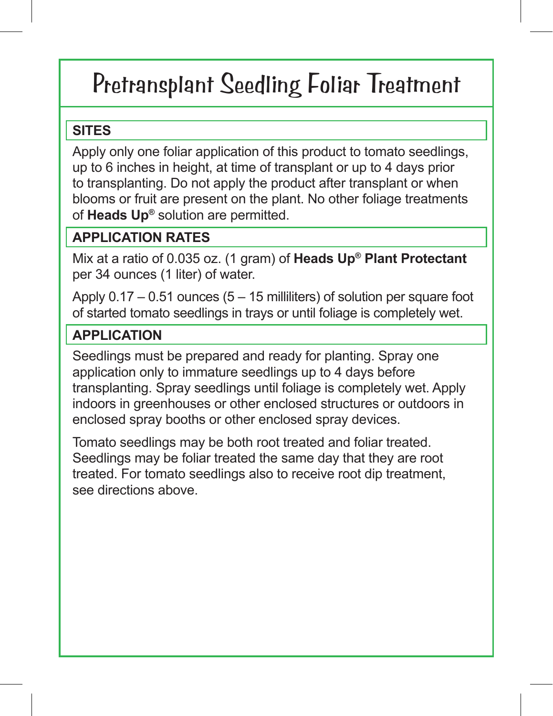## Pretransplant Seedling Foliar Treatment

#### **SITES**

Apply only one foliar application of this product to tomato seedlings, up to 6 inches in height, at time of transplant or up to 4 days prior to transplanting. Do not apply the product after transplant or when blooms or fruit are present on the plant. No other foliage treatments of **Heads Up®** solution are permitted.

### **APPLICATION RATES**

Mix at a ratio of 0.035 oz. (1 gram) of **Heads Up® Plant Protectant**  per 34 ounces (1 liter) of water.

Apply  $0.17 - 0.51$  ounces (5 – 15 milliliters) of solution per square foot of started tomato seedlings in trays or until foliage is completely wet.

### **APPLICATION**

Seedlings must be prepared and ready for planting. Spray one application only to immature seedlings up to 4 days before transplanting. Spray seedlings until foliage is completely wet. Apply indoors in greenhouses or other enclosed structures or outdoors in enclosed spray booths or other enclosed spray devices.

Tomato seedlings may be both root treated and foliar treated. Seedlings may be foliar treated the same day that they are root treated. For tomato seedlings also to receive root dip treatment, see directions above.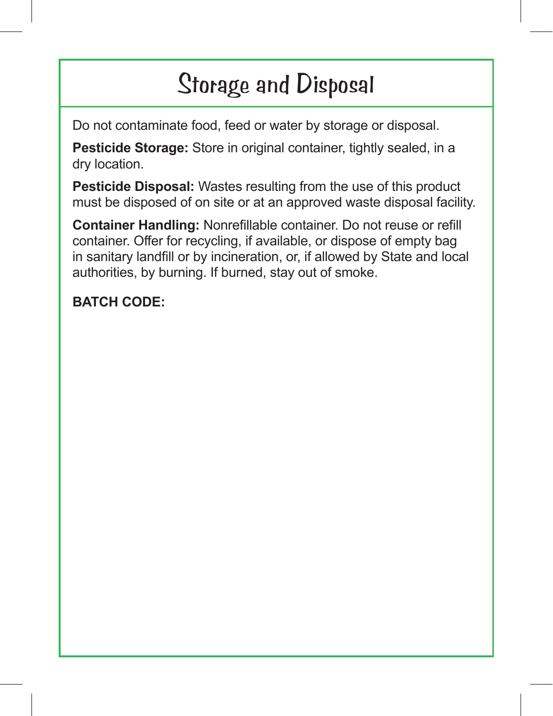# Storage and Disposal

Do not contaminate food, feed or water by storage or disposal.

**Pesticide Storage:** Store in original container, tightly sealed, in a dry location.

**Pesticide Disposal:** Wastes resulting from the use of this product must be disposed of on site or at an approved waste disposal facility.

**Container Handling:** Nonrefillable container. Do not reuse or refill container. Offer for recycling, if available, or dispose of empty bag in sanitary landfill or by incineration, or, if allowed by State and local authorities, by burning. If burned, stay out of smoke.

### **BATCH CODE:**